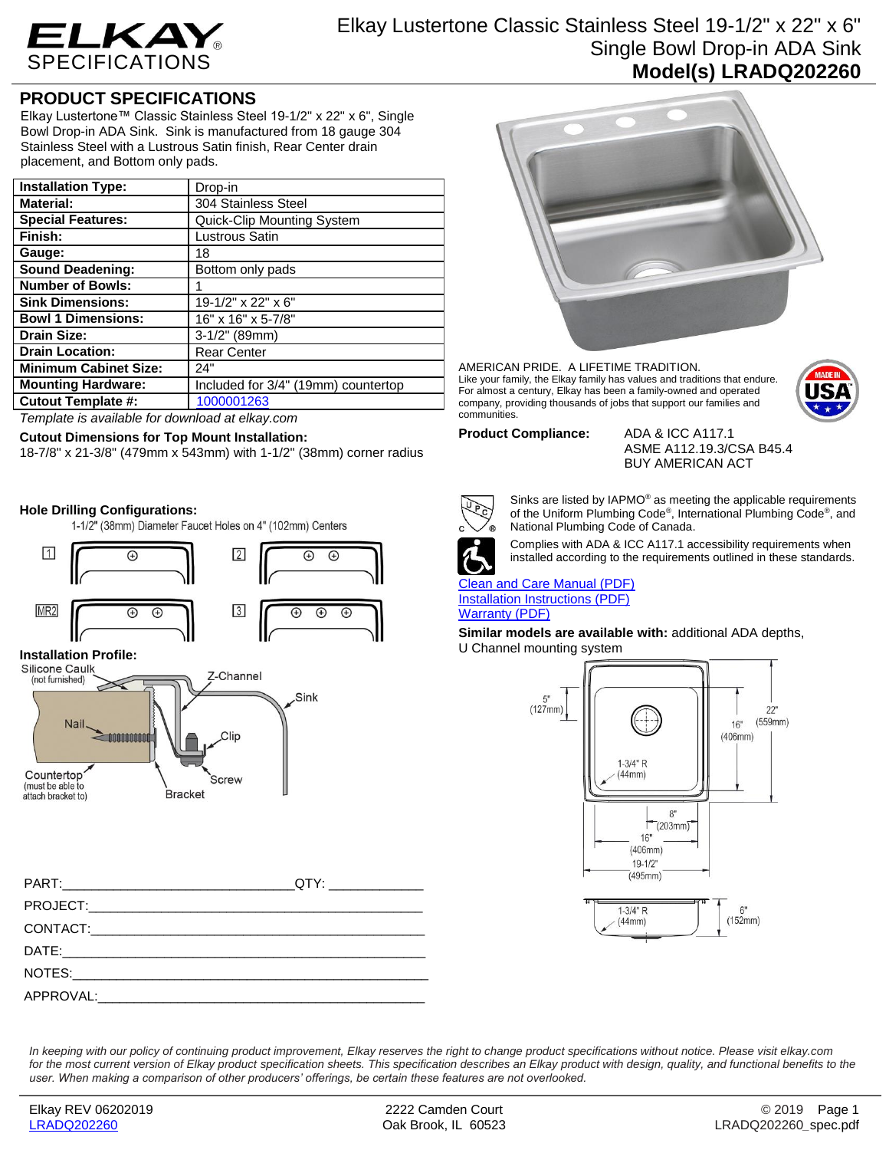

## Elkay Lustertone Classic Stainless Steel 19-1/2" x 22" x 6" Single Bowl Drop-in ADA Sink **Model(s) LRADQ202260**

### **PRODUCT SPECIFICATIONS**

Elkay Lustertone™ Classic Stainless Steel 19-1/2" x 22" x 6", Single Bowl Drop-in ADA Sink. Sink is manufactured from 18 gauge 304 Stainless Steel with a Lustrous Satin finish, Rear Center drain placement, and Bottom only pads.

| <b>Installation Type:</b>    | Drop-in                             |
|------------------------------|-------------------------------------|
| <b>Material:</b>             | 304 Stainless Steel                 |
| <b>Special Features:</b>     | Quick-Clip Mounting System          |
| Finish:                      | Lustrous Satin                      |
| Gauge:                       | 18                                  |
| <b>Sound Deadening:</b>      | Bottom only pads                    |
| <b>Number of Bowls:</b>      |                                     |
| <b>Sink Dimensions:</b>      | 19-1/2" x 22" x 6"                  |
| <b>Bowl 1 Dimensions:</b>    | 16" x 16" x 5-7/8"                  |
| Drain Size:                  | $3-1/2"$ (89mm)                     |
| <b>Drain Location:</b>       | <b>Rear Center</b>                  |
| <b>Minimum Cabinet Size:</b> | 24"                                 |
| <b>Mounting Hardware:</b>    | Included for 3/4" (19mm) countertop |
| <b>Cutout Template #:</b>    | 1000001263                          |

*Template is available for download at elkay.com*

### **Cutout Dimensions for Top Mount Installation:**

18-7/8" x 21-3/8" (479mm x 543mm) with 1-1/2" (38mm) corner radius

### **Hole Drilling Configurations:**

1-1/2" (38mm) Diameter Faucet Holes on 4" (102mm) Centers



# **Installation Profile:**



| QTY:________________ |
|----------------------|
|                      |
|                      |
|                      |
|                      |
|                      |



AMERICAN PRIDE. A LIFETIME TRADITION. Like your family, the Elkay family has values and traditions that endure. For almost a century, Elkay has been a family-owned and operated company, providing thousands of jobs that support our families and communities.



#### **Product Compliance:** ADA & ICC A117.1

ASME A112.19.3/CSA B45.4 BUY AMERICAN ACT



Sinks are listed by IAPMO® as meeting the applicable requirements of the Uniform Plumbing Code® , International Plumbing Code® , and National Plumbing Code of Canada.



Complies with ADA & ICC A117.1 accessibility requirements when installed according to the requirements outlined in these standards.

[Clean and Care Manual \(PDF\)](http://www.elkay.com/wcsstore/lkdocs/care-cleaning-install-warranty-sheets/residential%20and%20commercial%20care%20%20cleaning.pdf) [Installation Instructions \(PDF\)](http://www.elkay.com/wcsstore/lkdocs/care-cleaning-install-warranty-sheets/74180271.pdf) [Warranty](http://www.elkay.com/wcsstore/lkdocs/care-cleaning-install-warranty-sheets/1000005125.pdf) (PDF)

**Similar models are available with:** additional ADA depths, U Channel mounting system



*In keeping with our policy of continuing product improvement, Elkay reserves the right to change product specifications without notice. Please visit elkay.com for the most current version of Elkay product specification sheets. This specification describes an Elkay product with design, quality, and functional benefits to the user. When making a comparison of other producers' offerings, be certain these features are not overlooked.*